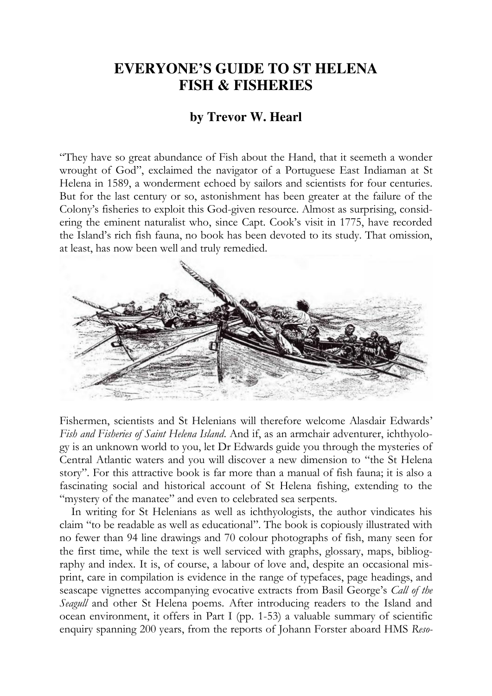## **EVERYONE'S GUIDE TO ST HELENA FISH & FISHERIES**

## **by Trevor W. Hearl**

"They have so great abundance of Fish about the Hand, that it seemeth a wonder wrought of God", exclaimed the navigator of a Portuguese East Indiaman at St Helena in 1589, a wonderment echoed by sailors and scientists for four centuries. But for the last century or so, astonishment has been greater at the failure of the Colony's fisheries to exploit this God-given resource. Almost as surprising, considering the eminent naturalist who, since Capt. Cook's visit in 1775, have recorded the Island's rich fish fauna, no book has been devoted to its study. That omission, at least, has now been well and truly remedied.



Fishermen, scientists and St Helenians will therefore welcome Alasdair Edwards' *Fish and Fisheries of Saint Helena Island*. And if, as an armchair adventurer, ichthyology is an unknown world to you, let Dr Edwards guide you through the mysteries of Central Atlantic waters and you will discover a new dimension to "the St Helena story". For this attractive book is far more than a manual of fish fauna; it is also a fascinating social and historical account of St Helena fishing, extending to the "mystery of the manatee" and even to celebrated sea serpents.

In writing for St Helenians as well as ichthyologists, the author vindicates his claim "to be readable as well as educational". The book is copiously illustrated with no fewer than 94 line drawings and 70 colour photographs of fish, many seen for the first time, while the text is well serviced with graphs, glossary, maps, bibliography and index. It is, of course, a labour of love and, despite an occasional misprint, care in compilation is evidence in the range of typefaces, page headings, and seascape vignettes accompanying evocative extracts from Basil George's *Call of the Seagull* and other St Helena poems. After introducing readers to the Island and ocean environment, it offers in Part I (pp. 1-53) a valuable summary of scientific enquiry spanning 200 years, from the reports of Johann Forster aboard HMS *Reso-*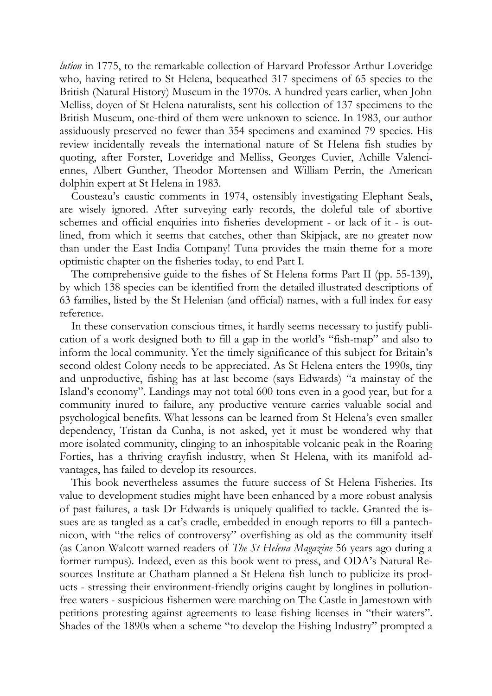*lution* in 1775, to the remarkable collection of Harvard Professor Arthur Loveridge who, having retired to St Helena, bequeathed 317 specimens of 65 species to the British (Natural History) Museum in the 1970s. A hundred years earlier, when John Melliss, doyen of St Helena naturalists, sent his collection of 137 specimens to the British Museum, one-third of them were unknown to science. In 1983, our author assiduously preserved no fewer than 354 specimens and examined 79 species. His review incidentally reveals the international nature of St Helena fish studies by quoting, after Forster, Loveridge and Melliss, Georges Cuvier, Achille Valenciennes, Albert Gunther, Theodor Mortensen and William Perrin, the American dolphin expert at St Helena in 1983.

Cousteau's caustic comments in 1974, ostensibly investigating Elephant Seals, are wisely ignored. After surveying early records, the doleful tale of abortive schemes and official enquiries into fisheries development - or lack of it - is outlined, from which it seems that catches, other than Skipjack, are no greater now than under the East India Company! Tuna provides the main theme for a more optimistic chapter on the fisheries today, to end Part I.

The comprehensive guide to the fishes of St Helena forms Part II (pp. 55-139), by which 138 species can be identified from the detailed illustrated descriptions of 63 families, listed by the St Helenian (and official) names, with a full index for easy reference.

In these conservation conscious times, it hardly seems necessary to justify publication of a work designed both to fill a gap in the world's "fish-map" and also to inform the local community. Yet the timely significance of this subject for Britain's second oldest Colony needs to be appreciated. As St Helena enters the 1990s, tiny and unproductive, fishing has at last become (says Edwards) "a mainstay of the Island's economy". Landings may not total 600 tons even in a good year, but for a community inured to failure, any productive venture carries valuable social and psychological benefits. What lessons can be learned from St Helena's even smaller dependency, Tristan da Cunha, is not asked, yet it must be wondered why that more isolated community, clinging to an inhospitable volcanic peak in the Roaring Forties, has a thriving crayfish industry, when St Helena, with its manifold advantages, has failed to develop its resources.

This book nevertheless assumes the future success of St Helena Fisheries. Its value to development studies might have been enhanced by a more robust analysis of past failures, a task Dr Edwards is uniquely qualified to tackle. Granted the issues are as tangled as a cat's cradle, embedded in enough reports to fill a pantechnicon, with "the relics of controversy" overfishing as old as the community itself (as Canon Walcott warned readers of *The St Helena Magazine* 56 years ago during a former rumpus). Indeed, even as this book went to press, and ODA's Natural Resources Institute at Chatham planned a St Helena fish lunch to publicize its products - stressing their environment-friendly origins caught by longlines in pollutionfree waters - suspicious fishermen were marching on The Castle in Jamestown with petitions protesting against agreements to lease fishing licenses in "their waters". Shades of the 1890s when a scheme "to develop the Fishing Industry" prompted a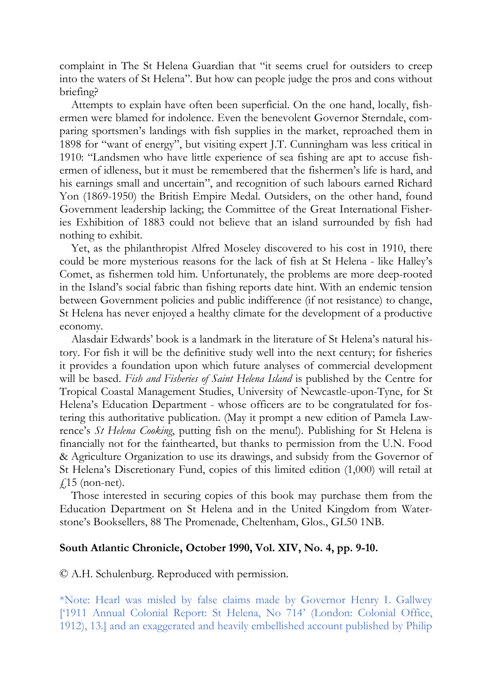complaint in The St Helena Guardian that "it seems cruel for outsiders to creep into the waters of St Helena". But how can people judge the pros and cons without briefing?

Attempts to explain have often been superficial. On the one hand, locally, fishermen were blamed for indolence. Even the benevolent Governor Sterndale, comparing sportsmen's landings with fish supplies in the market, reproached them in 1898 for "want of energy", but visiting expert J.T. Cunningham was less critical in 1910: "Landsmen who have little experience of sea fishing are apt to accuse fishermen of idleness, but it must be remembered that the fishermen's life is hard, and his earnings small and uncertain", and recognition of such labours earned Richard Yon (1869-1950) the British Empire Medal. Outsiders, on the other hand, found Government leadership lacking; the Committee of the Great International Fisheries Exhibition of 1883 could not believe that an island surrounded by fish had nothing to exhibit.

Yet, as the philanthropist Alfred Moseley discovered to his cost in 1910, there could be more mysterious reasons for the lack of fish at St Helena - like Halley's Comet, as fishermen told him. Unfortunately, the problems are more deep-rooted in the Island's social fabric than fishing reports date hint. With an endemic tension between Government policies and public indifference (if not resistance) to change, St Helena has never enjoyed a healthy climate for the development of a productive economy.

Alasdair Edwards' book is a landmark in the literature of St Helena's natural history. For fish it will be the definitive study well into the next century; for fisheries it provides a foundation upon which future analyses of commercial development will be based. *Fish and Fisheries of Saint Helena Island* is published by the Centre for Tropical Coastal Management Studies, University of Newcastle-upon-Tyne, for St Helena's Education Department - whose officers are to be congratulated for fostering this authoritative publication. (May it prompt a new edition of Pamela Lawrence's *St Helena Cooking*, putting fish on the menu!). Publishing for St Helena is financially not for the fainthearted, but thanks to permission from the U.N. Food & Agriculture Organization to use its drawings, and subsidy from the Governor of St Helena's Discretionary Fund, copies of this limited edition (1,000) will retail at  $f$ 15 (non-net).

Those interested in securing copies of this book may purchase them from the Education Department on St Helena and in the United Kingdom from Waterstone's Booksellers, 88 The Promenade, Cheltenham, Glos., GL50 1NB.

## **South Atlantic Chronicle, October 1990, Vol. XIV, No. 4, pp. 9-10.**

© A.H. Schulenburg. Reproduced with permission.

\*Note: Hearl was misled by false claims made by Governor Henry L Gallwey ['1911 Annual Colonial Report: St Helena, No 714' (London: Colonial Office, 1912), 13.] and an exaggerated and heavily embellished account published by Philip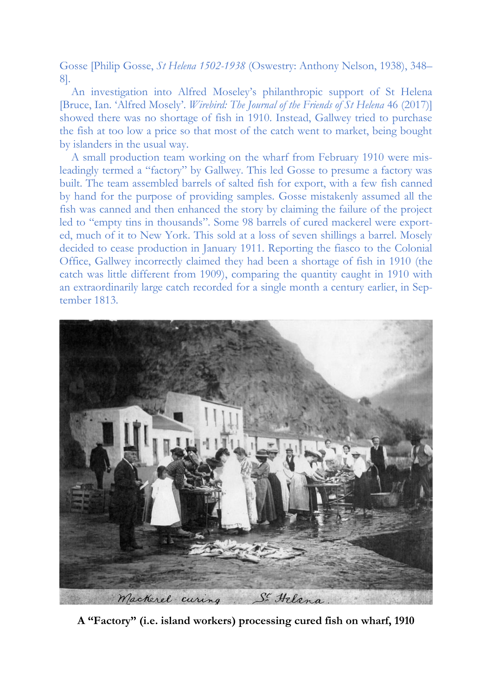Gosse [Philip Gosse, *St Helena 1502-1938* (Oswestry: Anthony Nelson, 1938), 348– 8].

An investigation into Alfred Moseley's philanthropic support of St Helena [Bruce, Ian. 'Alfred Mosely'. *Wirebird: The Journal of the Friends of St Helena* 46 (2017)] showed there was no shortage of fish in 1910. Instead, Gallwey tried to purchase the fish at too low a price so that most of the catch went to market, being bought by islanders in the usual way.

A small production team working on the wharf from February 1910 were misleadingly termed a "factory" by Gallwey. This led Gosse to presume a factory was built. The team assembled barrels of salted fish for export, with a few fish canned by hand for the purpose of providing samples. Gosse mistakenly assumed all the fish was canned and then enhanced the story by claiming the failure of the project led to "empty tins in thousands". Some 98 barrels of cured mackerel were exported, much of it to New York. This sold at a loss of seven shillings a barrel. Mosely decided to cease production in January 1911. Reporting the fiasco to the Colonial Office, Gallwey incorrectly claimed they had been a shortage of fish in 1910 (the catch was little different from 1909), comparing the quantity caught in 1910 with an extraordinarily large catch recorded for a single month a century earlier, in September 1813.



**A "Factory" (i.e. island workers) processing cured fish on wharf, 1910**